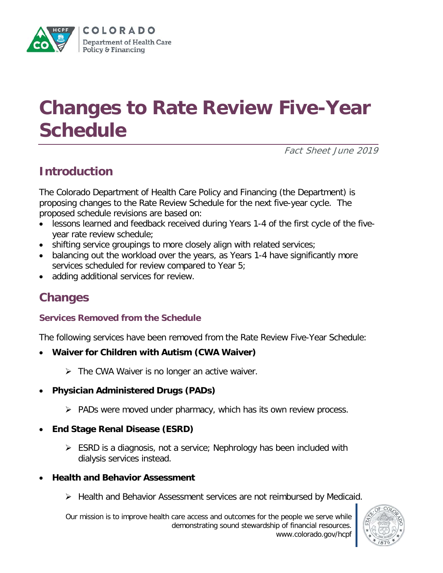

# **Changes to Rate Review Five-Year Schedule**

Fact Sheet June 2019

## **Introduction**

The Colorado Department of Health Care Policy and Financing (the Department) is proposing changes to the Rate Review Schedule for the next five-year cycle. The proposed schedule revisions are based on:

- lessons learned and feedback received during Years 1-4 of the first cycle of the fiveyear rate review schedule;
- shifting service groupings to more closely align with related services;
- balancing out the workload over the years, as Years 1-4 have significantly more services scheduled for review compared to Year 5;
- adding additional services for review.

## **Changes**

#### **Services Removed from the Schedule**

The following services have been removed from the Rate Review Five-Year Schedule:

- **Waiver for Children with Autism (CWA Waiver)**
	- $\triangleright$  The CWA Waiver is no longer an active waiver.
- **Physician Administered Drugs (PADs)**
	- $\triangleright$  PADs were moved under pharmacy, which has its own review process.
- **End Stage Renal Disease (ESRD)**
	- $\triangleright$  ESRD is a diagnosis, not a service; Nephrology has been included with dialysis services instead.
- **Health and Behavior Assessment**
	- Health and Behavior Assessment services are not reimbursed by Medicaid.

Our mission is to improve health care access and outcomes for the people we serve while demonstrating sound stewardship of financial resources. www.colorado.gov/hcpf

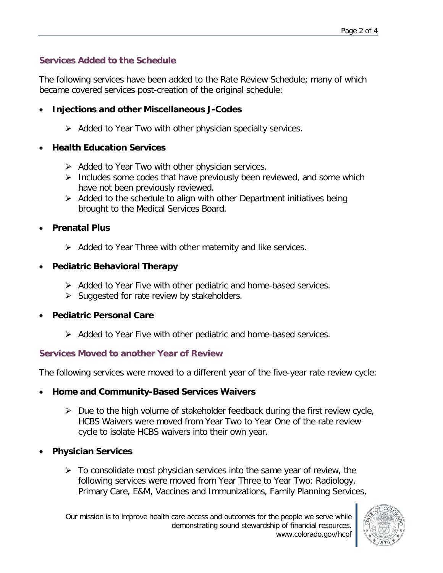#### **Services Added to the Schedule**

The following services have been added to the Rate Review Schedule; many of which became covered services post-creation of the original schedule:

- **Injections and other Miscellaneous J-Codes**
	- $\triangleright$  Added to Year Two with other physician specialty services.

#### • **Health Education Services**

- $\triangleright$  Added to Year Two with other physician services.
- $\triangleright$  Includes some codes that have previously been reviewed, and some which have not been previously reviewed.
- $\triangleright$  Added to the schedule to align with other Department initiatives being brought to the Medical Services Board.
- **Prenatal Plus**
	- $\triangleright$  Added to Year Three with other maternity and like services.

#### • **Pediatric Behavioral Therapy**

- $\triangleright$  Added to Year Five with other pediatric and home-based services.
- $\triangleright$  Suggested for rate review by stakeholders.

#### • **Pediatric Personal Care**

 $\triangleright$  Added to Year Five with other pediatric and home-based services.

#### **Services Moved to another Year of Review**

The following services were moved to a different year of the five-year rate review cycle:

- **Home and Community-Based Services Waivers**
	- $\triangleright$  Due to the high volume of stakeholder feedback during the first review cycle, HCBS Waivers were moved from Year Two to Year One of the rate review cycle to isolate HCBS waivers into their own year.
- **Physician Services**
	- $\triangleright$  To consolidate most physician services into the same year of review, the following services were moved from Year Three to Year Two: Radiology, Primary Care, E&M, Vaccines and Immunizations, Family Planning Services,

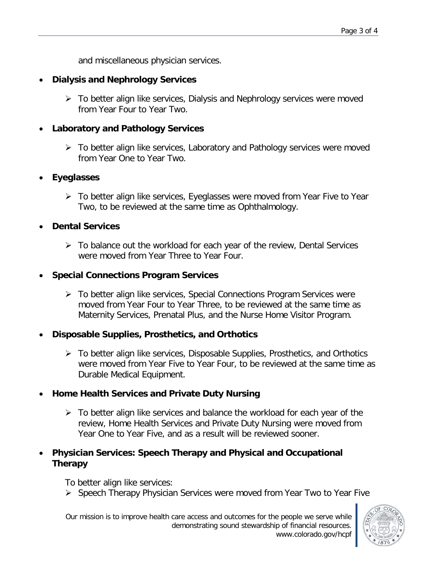and miscellaneous physician services.

#### • **Dialysis and Nephrology Services**

 $\triangleright$  To better align like services, Dialysis and Nephrology services were moved from Year Four to Year Two.

#### • **Laboratory and Pathology Services**

 $\triangleright$  To better align like services, Laboratory and Pathology services were moved from Year One to Year Two.

#### • **Eyeglasses**

 To better align like services, Eyeglasses were moved from Year Five to Year Two, to be reviewed at the same time as Ophthalmology.

#### • **Dental Services**

 $\triangleright$  To balance out the workload for each year of the review, Dental Services were moved from Year Three to Year Four.

#### • **Special Connections Program Services**

▶ To better align like services, Special Connections Program Services were moved from Year Four to Year Three, to be reviewed at the same time as Maternity Services, Prenatal Plus, and the Nurse Home Visitor Program.

#### • **Disposable Supplies, Prosthetics, and Orthotics**

 $\triangleright$  To better align like services, Disposable Supplies, Prosthetics, and Orthotics were moved from Year Five to Year Four, to be reviewed at the same time as Durable Medical Equipment.

#### • **Home Health Services and Private Duty Nursing**

 $\triangleright$  To better align like services and balance the workload for each year of the review, Home Health Services and Private Duty Nursing were moved from Year One to Year Five, and as a result will be reviewed sooner.

#### • **Physician Services: Speech Therapy and Physical and Occupational Therapy**

To better align like services:

Speech Therapy Physician Services were moved from Year Two to Year Five

Our mission is to improve health care access and outcomes for the people we serve while demonstrating sound stewardship of financial resources. www.colorado.gov/hcpf